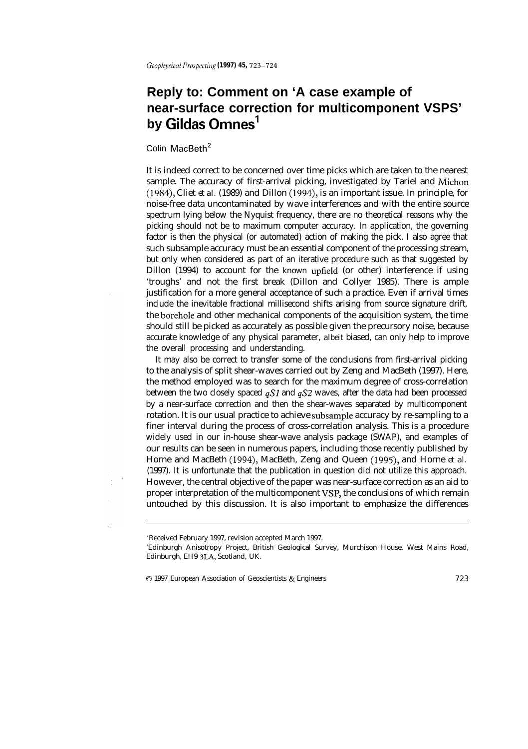## **Reply to: Comment on 'A case example of near-surface correction for multicomponent VSPS' by Gildas Omnes'**

## Colin MacBeth<sup>2</sup>

It is indeed correct to be concerned over time picks which are taken to the nearest sample. The accuracy of first-arrival picking, investigated by Tariel and Michon (1984), Cliet *et al.* (1989) and Dillon (1994), is an important issue. In principle, for noise-free data uncontaminated by wave interferences and with the entire source spectrum lying below the Nyquist frequency, there are no theoretical reasons why the picking should not be to maximum computer accuracy. In application, the governing factor is then the physical (or automated) action of making the pick. I also agree that such subsample accuracy must be an essential component of the processing stream, but only when considered as part of an iterative procedure such as that suggested by Dillon (1994) to account for the *known* upfield (or other) interference if using 'troughs' and not the first break (Dillon and Collyer 1985). There is ample justification for a more general acceptance of such a practice. Even if arrival times include the inevitable fractional millisecond shifts arising from source signature drift, the borehole and other mechanical components of the acquisition system, the time should still be picked as accurately as possible given the precursory noise, because accurate knowledge of any physical parameter, *albeit* biased, can only help to improve the overall processing and understanding.

It may also be correct to transfer some of the conclusions from first-arrival picking to the analysis of split shear-waves carried out by Zeng and MacBeth (1997). Here, the method employed was to search for the maximum degree of cross-correlation between the two closely spaced  $qS1$  and  $qS2$  waves, after the data had been processed by a near-surface correction and then the shear-waves separated by multicomponent rotation. It is our usual practice to achieve subsample accuracy by re-sampling to a finer interval during the process of cross-correlation analysis. This is a procedure widely used in our in-house shear-wave analysis package (SWAP), and examples of our results can be seen in numerous papers, including those recently published by Horne and MacBeth (1994), MacBeth, Zeng and Queen (1995), and Horne *et al.* (1997). It is unfortunate that the publication in question did not utilize this approach. However, the central objective of the paper was near-surface correction as an aid to proper interpretation of the multicomponent VSP, the conclusions of which remain untouched by this discussion. It is also important to emphasize the differences

<sup>&#</sup>x27;Received February 1997, revision accepted March 1997.

<sup>&#</sup>x27;Edinburgh Anisotropy Project, British Geological Survey, Murchison House, West Mains Road, Edinburgh, EH9 3LA, Scotland, UK.

<sup>0 1997</sup> European Association of Geoscientists & Engineers *723*